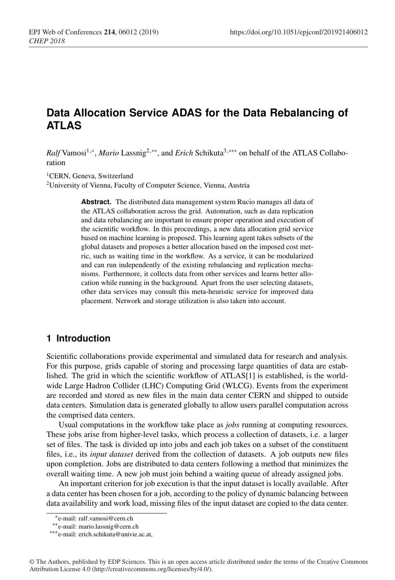# **Data Allocation Service ADAS for the Data Rebalancing of ATLAS**

*Ralf* Vamosi<sup>1,∗</sup>, *Mario* Lassnig<sup>2,∗∗</sup>, and *Erich* Schikuta<sup>3,</sup>∗∗∗ on behalf of the ATLAS Collaboration

<sup>1</sup>CERN, Geneva, Switzerland

2University of Vienna, Faculty of Computer Science, Vienna, Austria

**Abstract.** The distributed data management system Rucio manages all data of the ATLAS collaboration across the grid. Automation, such as data replication and data rebalancing are important to ensure proper operation and execution of the scientific workflow. In this proceedings, a new data allocation grid service based on machine learning is proposed. This learning agent takes subsets of the global datasets and proposes a better allocation based on the imposed cost metric, such as waiting time in the workflow. As a service, it can be modularized and can run independently of the existing rebalancing and replication mechanisms. Furthermore, it collects data from other services and learns better allocation while running in the background. Apart from the user selecting datasets, other data services may consult this meta-heuristic service for improved data placement. Network and storage utilization is also taken into account.

#### **1 Introduction**

Scientific collaborations provide experimental and simulated data for research and analysis. For this purpose, grids capable of storing and processing large quantities of data are established. The grid in which the scientific workflow of ATLAS[1] is established, is the worldwide Large Hadron Collider (LHC) Computing Grid (WLCG). Events from the experiment are recorded and stored as new files in the main data center CERN and shipped to outside data centers. Simulation data is generated globally to allow users parallel computation across the comprised data centers.

Usual computations in the workflow take place as *jobs* running at computing resources. These jobs arise from higher-level tasks, which process a collection of datasets, i.e. a larger set of files. The task is divided up into jobs and each job takes on a subset of the constituent files, i.e., its *input dataset* derived from the collection of datasets. A job outputs new files upon completion. Jobs are distributed to data centers following a method that minimizes the overall waiting time. A new job must join behind a waiting queue of already assigned jobs.

An important criterion for job execution is that the input dataset is locally available. After a data center has been chosen for a job, according to the policy of dynamic balancing between data availability and work load, missing files of the input dataset are copied to the data center.

<sup>∗</sup>e-mail: ralf.vamosi@cern.ch

<sup>∗∗</sup>e-mail: mario.lassnig@cern.ch

<sup>∗∗∗</sup>e-mail: erich.schikuta@univie.ac.at,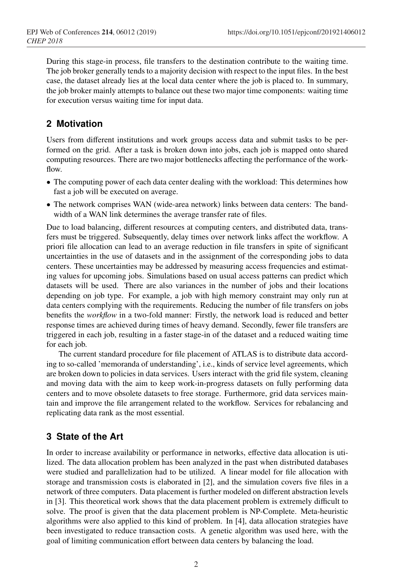During this stage-in process, file transfers to the destination contribute to the waiting time. The job broker generally tends to a majority decision with respect to the input files. In the best case, the dataset already lies at the local data center where the job is placed to. In summary, the job broker mainly attempts to balance out these two major time components: waiting time for execution versus waiting time for input data.

## **2 Motivation**

Users from different institutions and work groups access data and submit tasks to be performed on the grid. After a task is broken down into jobs, each job is mapped onto shared computing resources. There are two major bottlenecks affecting the performance of the workflow.

- The computing power of each data center dealing with the workload: This determines how fast a job will be executed on average.
- The network comprises WAN (wide-area network) links between data centers: The bandwidth of a WAN link determines the average transfer rate of files.

Due to load balancing, different resources at computing centers, and distributed data, transfers must be triggered. Subsequently, delay times over network links affect the workflow. A priori file allocation can lead to an average reduction in file transfers in spite of significant uncertainties in the use of datasets and in the assignment of the corresponding jobs to data centers. These uncertainties may be addressed by measuring access frequencies and estimating values for upcoming jobs. Simulations based on usual access patterns can predict which datasets will be used. There are also variances in the number of jobs and their locations depending on job type. For example, a job with high memory constraint may only run at data centers complying with the requirements. Reducing the number of file transfers on jobs benefits the *workflow* in a two-fold manner: Firstly, the network load is reduced and better response times are achieved during times of heavy demand. Secondly, fewer file transfers are triggered in each job, resulting in a faster stage-in of the dataset and a reduced waiting time for each job.

The current standard procedure for file placement of ATLAS is to distribute data according to so-called 'memoranda of understanding', i.e., kinds of service level agreements, which are broken down to policies in data services. Users interact with the grid file system, cleaning and moving data with the aim to keep work-in-progress datasets on fully performing data centers and to move obsolete datasets to free storage. Furthermore, grid data services maintain and improve the file arrangement related to the workflow. Services for rebalancing and replicating data rank as the most essential.

## **3 State of the Art**

In order to increase availability or performance in networks, effective data allocation is utilized. The data allocation problem has been analyzed in the past when distributed databases were studied and parallelization had to be utilized. A linear model for file allocation with storage and transmission costs is elaborated in [2], and the simulation covers five files in a network of three computers. Data placement is further modeled on different abstraction levels in [3]. This theoretical work shows that the data placement problem is extremely difficult to solve. The proof is given that the data placement problem is NP-Complete. Meta-heuristic algorithms were also applied to this kind of problem. In [4], data allocation strategies have been investigated to reduce transaction costs. A genetic algorithm was used here, with the goal of limiting communication effort between data centers by balancing the load.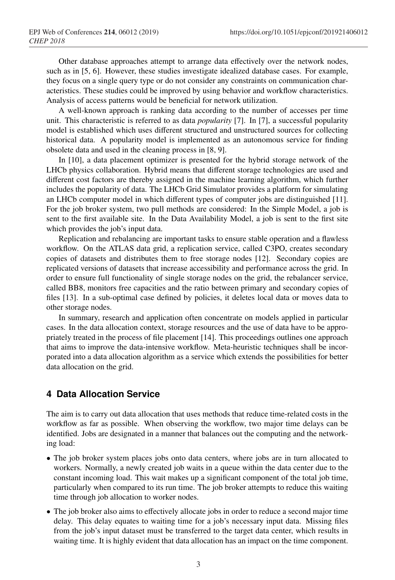Other database approaches attempt to arrange data effectively over the network nodes, such as in [5, 6]. However, these studies investigate idealized database cases. For example, they focus on a single query type or do not consider any constraints on communication characteristics. These studies could be improved by using behavior and workflow characteristics. Analysis of access patterns would be beneficial for network utilization.

A well-known approach is ranking data according to the number of accesses per time unit. This characteristic is referred to as data *popularity* [7]. In [7], a successful popularity model is established which uses different structured and unstructured sources for collecting historical data. A popularity model is implemented as an autonomous service for finding obsolete data and used in the cleaning process in [8, 9].

In [10], a data placement optimizer is presented for the hybrid storage network of the LHCb physics collaboration. Hybrid means that different storage technologies are used and different cost factors are thereby assigned in the machine learning algorithm, which further includes the popularity of data. The LHCb Grid Simulator provides a platform for simulating an LHCb computer model in which different types of computer jobs are distinguished [11]. For the job broker system, two pull methods are considered: In the Simple Model, a job is sent to the first available site. In the Data Availability Model, a job is sent to the first site which provides the job's input data.

Replication and rebalancing are important tasks to ensure stable operation and a flawless workflow. On the ATLAS data grid, a replication service, called C3PO, creates secondary copies of datasets and distributes them to free storage nodes [12]. Secondary copies are replicated versions of datasets that increase accessibility and performance across the grid. In order to ensure full functionality of single storage nodes on the grid, the rebalancer service, called BB8, monitors free capacities and the ratio between primary and secondary copies of files [13]. In a sub-optimal case defined by policies, it deletes local data or moves data to other storage nodes.

In summary, research and application often concentrate on models applied in particular cases. In the data allocation context, storage resources and the use of data have to be appropriately treated in the process of file placement [14]. This proceedings outlines one approach that aims to improve the data-intensive workflow. Meta-heuristic techniques shall be incorporated into a data allocation algorithm as a service which extends the possibilities for better data allocation on the grid.

### **4 Data Allocation Service**

The aim is to carry out data allocation that uses methods that reduce time-related costs in the workflow as far as possible. When observing the workflow, two major time delays can be identified. Jobs are designated in a manner that balances out the computing and the networking load:

- The job broker system places jobs onto data centers, where jobs are in turn allocated to workers. Normally, a newly created job waits in a queue within the data center due to the constant incoming load. This wait makes up a significant component of the total job time, particularly when compared to its run time. The job broker attempts to reduce this waiting time through job allocation to worker nodes.
- The job broker also aims to effectively allocate jobs in order to reduce a second major time delay. This delay equates to waiting time for a job's necessary input data. Missing files from the job's input dataset must be transferred to the target data center, which results in waiting time. It is highly evident that data allocation has an impact on the time component.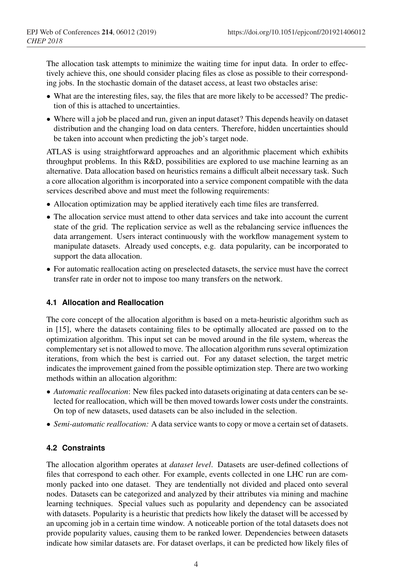The allocation task attempts to minimize the waiting time for input data. In order to effectively achieve this, one should consider placing files as close as possible to their corresponding jobs. In the stochastic domain of the dataset access, at least two obstacles arise:

- What are the interesting files, say, the files that are more likely to be accessed? The prediction of this is attached to uncertainties.
- Where will a job be placed and run, given an input dataset? This depends heavily on dataset distribution and the changing load on data centers. Therefore, hidden uncertainties should be taken into account when predicting the job's target node.

ATLAS is using straightforward approaches and an algorithmic placement which exhibits throughput problems. In this R&D, possibilities are explored to use machine learning as an alternative. Data allocation based on heuristics remains a difficult albeit necessary task. Such a core allocation algorithm is incorporated into a service component compatible with the data services described above and must meet the following requirements:

- Allocation optimization may be applied iteratively each time files are transferred.
- The allocation service must attend to other data services and take into account the current state of the grid. The replication service as well as the rebalancing service influences the data arrangement. Users interact continuously with the workflow management system to manipulate datasets. Already used concepts, e.g. data popularity, can be incorporated to support the data allocation.
- For automatic reallocation acting on preselected datasets, the service must have the correct transfer rate in order not to impose too many transfers on the network.

#### **4.1 Allocation and Reallocation**

The core concept of the allocation algorithm is based on a meta-heuristic algorithm such as in [15], where the datasets containing files to be optimally allocated are passed on to the optimization algorithm. This input set can be moved around in the file system, whereas the complementary set is not allowed to move. The allocation algorithm runs several optimization iterations, from which the best is carried out. For any dataset selection, the target metric indicates the improvement gained from the possible optimization step. There are two working methods within an allocation algorithm:

- *Automatic reallocation*: New files packed into datasets originating at data centers can be selected for reallocation, which will be then moved towards lower costs under the constraints. On top of new datasets, used datasets can be also included in the selection.
- *Semi-automatic reallocation:* A data service wants to copy or move a certain set of datasets.

#### **4.2 Constraints**

The allocation algorithm operates at *dataset level*. Datasets are user-defined collections of files that correspond to each other. For example, events collected in one LHC run are commonly packed into one dataset. They are tendentially not divided and placed onto several nodes. Datasets can be categorized and analyzed by their attributes via mining and machine learning techniques. Special values such as popularity and dependency can be associated with datasets. Popularity is a heuristic that predicts how likely the dataset will be accessed by an upcoming job in a certain time window. A noticeable portion of the total datasets does not provide popularity values, causing them to be ranked lower. Dependencies between datasets indicate how similar datasets are. For dataset overlaps, it can be predicted how likely files of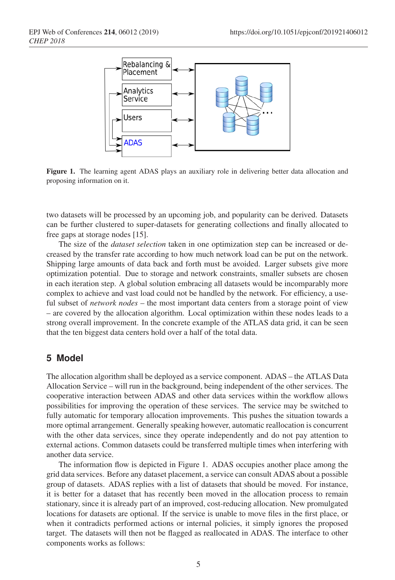

Figure 1. The learning agent ADAS plays an auxiliary role in delivering better data allocation and proposing information on it.

two datasets will be processed by an upcoming job, and popularity can be derived. Datasets can be further clustered to super-datasets for generating collections and finally allocated to free gaps at storage nodes [15].

The size of the *dataset selection* taken in one optimization step can be increased or decreased by the transfer rate according to how much network load can be put on the network. Shipping large amounts of data back and forth must be avoided. Larger subsets give more optimization potential. Due to storage and network constraints, smaller subsets are chosen in each iteration step. A global solution embracing all datasets would be incomparably more complex to achieve and vast load could not be handled by the network. For efficiency, a useful subset of *network nodes* – the most important data centers from a storage point of view – are covered by the allocation algorithm. Local optimization within these nodes leads to a strong overall improvement. In the concrete example of the ATLAS data grid, it can be seen that the ten biggest data centers hold over a half of the total data.

#### **5 Model**

The allocation algorithm shall be deployed as a service component. ADAS – the ATLAS Data Allocation Service – will run in the background, being independent of the other services. The cooperative interaction between ADAS and other data services within the workflow allows possibilities for improving the operation of these services. The service may be switched to fully automatic for temporary allocation improvements. This pushes the situation towards a more optimal arrangement. Generally speaking however, automatic reallocation is concurrent with the other data services, since they operate independently and do not pay attention to external actions. Common datasets could be transferred multiple times when interfering with another data service.

The information flow is depicted in Figure 1. ADAS occupies another place among the grid data services. Before any dataset placement, a service can consult ADAS about a possible group of datasets. ADAS replies with a list of datasets that should be moved. For instance, it is better for a dataset that has recently been moved in the allocation process to remain stationary, since it is already part of an improved, cost-reducing allocation. New promulgated locations for datasets are optional. If the service is unable to move files in the first place, or when it contradicts performed actions or internal policies, it simply ignores the proposed target. The datasets will then not be flagged as reallocated in ADAS. The interface to other components works as follows: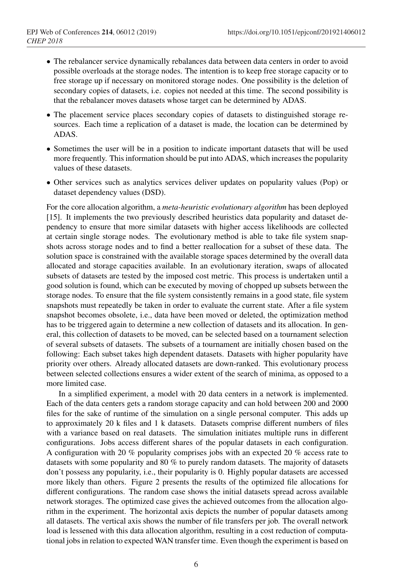- The rebalancer service dynamically rebalances data between data centers in order to avoid possible overloads at the storage nodes. The intention is to keep free storage capacity or to free storage up if necessary on monitored storage nodes. One possibility is the deletion of secondary copies of datasets, i.e. copies not needed at this time. The second possibility is that the rebalancer moves datasets whose target can be determined by ADAS.
- The placement service places secondary copies of datasets to distinguished storage resources. Each time a replication of a dataset is made, the location can be determined by ADAS.
- Sometimes the user will be in a position to indicate important datasets that will be used more frequently. This information should be put into ADAS, which increases the popularity values of these datasets.
- Other services such as analytics services deliver updates on popularity values (Pop) or dataset dependency values (DSD).

For the core allocation algorithm, a *meta-heuristic evolutionary algorithm* has been deployed [15]. It implements the two previously described heuristics data popularity and dataset dependency to ensure that more similar datasets with higher access likelihoods are collected at certain single storage nodes. The evolutionary method is able to take file system snapshots across storage nodes and to find a better reallocation for a subset of these data. The solution space is constrained with the available storage spaces determined by the overall data allocated and storage capacities available. In an evolutionary iteration, swaps of allocated subsets of datasets are tested by the imposed cost metric. This process is undertaken until a good solution is found, which can be executed by moving of chopped up subsets between the storage nodes. To ensure that the file system consistently remains in a good state, file system snapshots must repeatedly be taken in order to evaluate the current state. After a file system snapshot becomes obsolete, i.e., data have been moved or deleted, the optimization method has to be triggered again to determine a new collection of datasets and its allocation. In general, this collection of datasets to be moved, can be selected based on a tournament selection of several subsets of datasets. The subsets of a tournament are initially chosen based on the following: Each subset takes high dependent datasets. Datasets with higher popularity have priority over others. Already allocated datasets are down-ranked. This evolutionary process between selected collections ensures a wider extent of the search of minima, as opposed to a more limited case.

In a simplified experiment, a model with 20 data centers in a network is implemented. Each of the data centers gets a random storage capacity and can hold between 200 and 2000 files for the sake of runtime of the simulation on a single personal computer. This adds up to approximately 20 k files and 1 k datasets. Datasets comprise different numbers of files with a variance based on real datasets. The simulation initiates multiple runs in different configurations. Jobs access different shares of the popular datasets in each configuration. A configuration with 20 % popularity comprises jobs with an expected 20 % access rate to datasets with some popularity and 80 % to purely random datasets. The majority of datasets don't possess any popularity, i.e., their popularity is 0. Highly popular datasets are accessed more likely than others. Figure 2 presents the results of the optimized file allocations for different configurations. The random case shows the initial datasets spread across available network storages. The optimized case gives the achieved outcomes from the allocation algorithm in the experiment. The horizontal axis depicts the number of popular datasets among all datasets. The vertical axis shows the number of file transfers per job. The overall network load is lessened with this data allocation algorithm, resulting in a cost reduction of computational jobs in relation to expected WAN transfer time. Even though the experiment is based on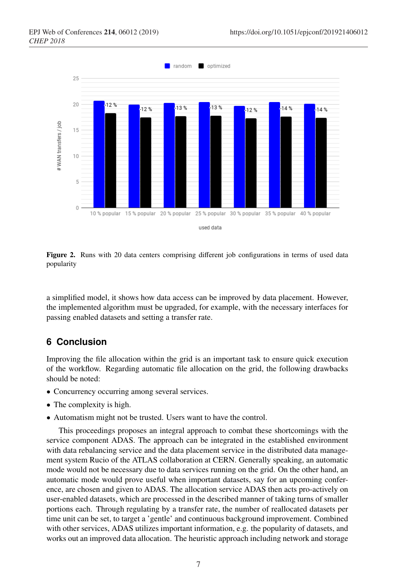

Figure 2. Runs with 20 data centers comprising different job configurations in terms of used data popularity

a simplified model, it shows how data access can be improved by data placement. However, the implemented algorithm must be upgraded, for example, with the necessary interfaces for passing enabled datasets and setting a transfer rate.

## **6 Conclusion**

Improving the file allocation within the grid is an important task to ensure quick execution of the workflow. Regarding automatic file allocation on the grid, the following drawbacks should be noted:

- Concurrency occurring among several services.
- The complexity is high.
- Automatism might not be trusted. Users want to have the control.

This proceedings proposes an integral approach to combat these shortcomings with the service component ADAS. The approach can be integrated in the established environment with data rebalancing service and the data placement service in the distributed data management system Rucio of the ATLAS collaboration at CERN. Generally speaking, an automatic mode would not be necessary due to data services running on the grid. On the other hand, an automatic mode would prove useful when important datasets, say for an upcoming conference, are chosen and given to ADAS. The allocation service ADAS then acts pro-actively on user-enabled datasets, which are processed in the described manner of taking turns of smaller portions each. Through regulating by a transfer rate, the number of reallocated datasets per time unit can be set, to target a 'gentle' and continuous background improvement. Combined with other services, ADAS utilizes important information, e.g. the popularity of datasets, and works out an improved data allocation. The heuristic approach including network and storage